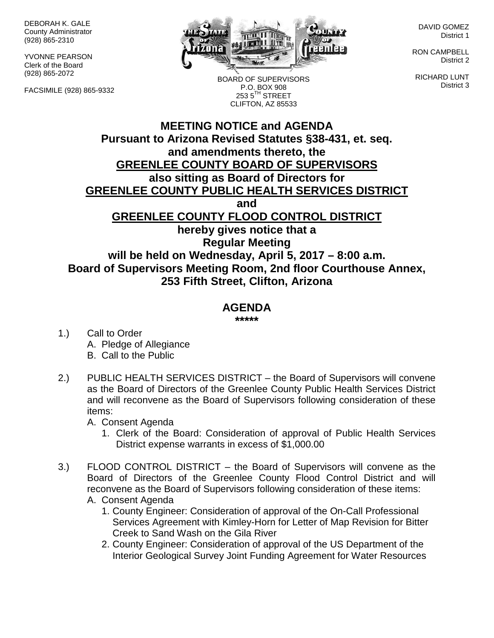DEBORAH K. GALE County Administrator (928) 865-2310

YVONNE PEARSON Clerk of the Board (928) 865-2072

FACSIMILE (928) 865-9332



BOARD OF SUPERVISORS P.O. BOX 908  $2535^{\text{TH}}$  STREET CLIFTON, AZ 85533

DAVID GOMEZ District 1

RON CAMPBELL District 2

RICHARD LUNT District 3

## **MEETING NOTICE and AGENDA Pursuant to Arizona Revised Statutes §38-431, et. seq. and amendments thereto, the GREENLEE COUNTY BOARD OF SUPERVISORS also sitting as Board of Directors for GREENLEE COUNTY PUBLIC HEALTH SERVICES DISTRICT and GREENLEE COUNTY FLOOD CONTROL DISTRICT hereby gives notice that a Regular Meeting will be held on Wednesday, April 5, 2017 – 8:00 a.m. Board of Supervisors Meeting Room, 2nd floor Courthouse Annex, 253 Fifth Street, Clifton, Arizona**

## **AGENDA**

**\*\*\*\*\***

- 1.) Call to Order A. Pledge of Allegiance B. Call to the Public
- 2.) PUBLIC HEALTH SERVICES DISTRICT the Board of Supervisors will convene as the Board of Directors of the Greenlee County Public Health Services District and will reconvene as the Board of Supervisors following consideration of these items:

A. Consent Agenda

- 1. Clerk of the Board: Consideration of approval of Public Health Services District expense warrants in excess of \$1,000.00
- 3.) FLOOD CONTROL DISTRICT the Board of Supervisors will convene as the Board of Directors of the Greenlee County Flood Control District and will reconvene as the Board of Supervisors following consideration of these items:
	- A. Consent Agenda
		- 1. County Engineer: Consideration of approval of the On-Call Professional Services Agreement with Kimley-Horn for Letter of Map Revision for Bitter Creek to Sand Wash on the Gila River
		- 2. County Engineer: Consideration of approval of the US Department of the Interior Geological Survey Joint Funding Agreement for Water Resources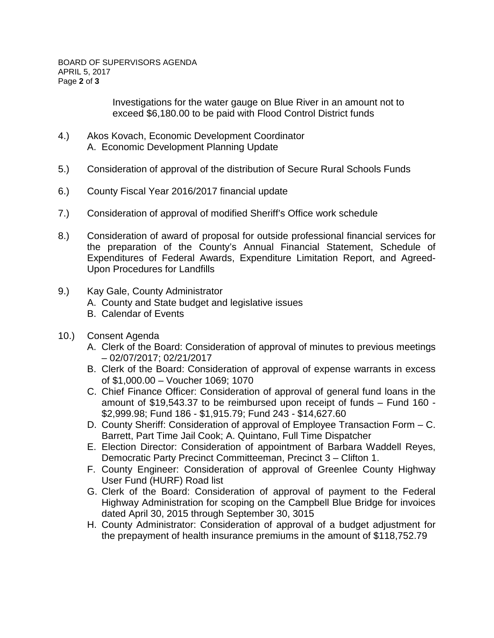Investigations for the water gauge on Blue River in an amount not to exceed \$6,180.00 to be paid with Flood Control District funds

- 4.) Akos Kovach, Economic Development Coordinator A. Economic Development Planning Update
- 5.) Consideration of approval of the distribution of Secure Rural Schools Funds
- 6.) County Fiscal Year 2016/2017 financial update
- 7.) Consideration of approval of modified Sheriff's Office work schedule
- 8.) Consideration of award of proposal for outside professional financial services for the preparation of the County's Annual Financial Statement, Schedule of Expenditures of Federal Awards, Expenditure Limitation Report, and Agreed-Upon Procedures for Landfills
- 9.) Kay Gale, County Administrator
	- A. County and State budget and legislative issues
	- B. Calendar of Events
- 10.) Consent Agenda
	- A. Clerk of the Board: Consideration of approval of minutes to previous meetings – 02/07/2017; 02/21/2017
	- B. Clerk of the Board: Consideration of approval of expense warrants in excess of \$1,000.00 – Voucher 1069; 1070
	- C. Chief Finance Officer: Consideration of approval of general fund loans in the amount of \$19,543.37 to be reimbursed upon receipt of funds – Fund 160 - \$2,999.98; Fund 186 - \$1,915.79; Fund 243 - \$14,627.60
	- D. County Sheriff: Consideration of approval of Employee Transaction Form C. Barrett, Part Time Jail Cook; A. Quintano, Full Time Dispatcher
	- E. Election Director: Consideration of appointment of Barbara Waddell Reyes, Democratic Party Precinct Committeeman, Precinct 3 – Clifton 1.
	- F. County Engineer: Consideration of approval of Greenlee County Highway User Fund (HURF) Road list
	- G. Clerk of the Board: Consideration of approval of payment to the Federal Highway Administration for scoping on the Campbell Blue Bridge for invoices dated April 30, 2015 through September 30, 3015
	- H. County Administrator: Consideration of approval of a budget adjustment for the prepayment of health insurance premiums in the amount of \$118,752.79